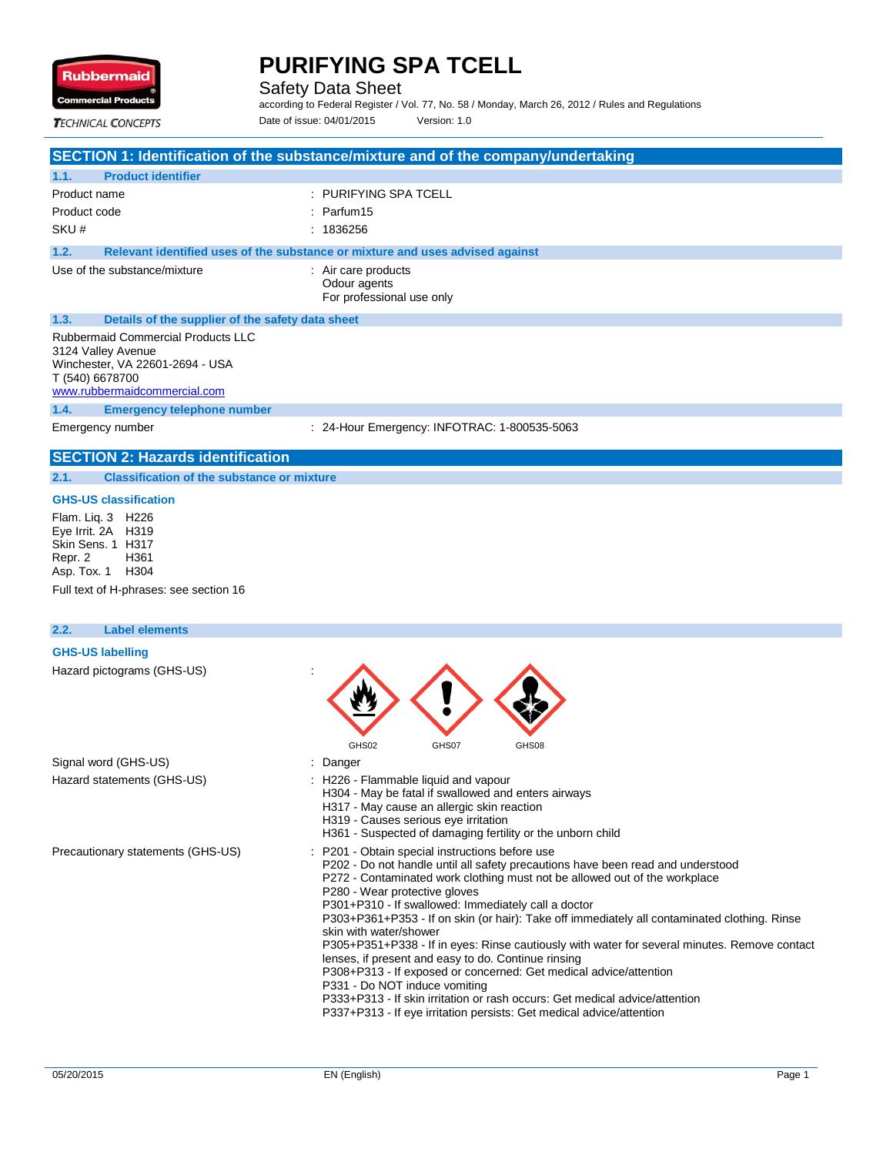

Safety Data Sheet

according to Federal Register / Vol. 77, No. 58 / Monday, March 26, 2012 / Rules and Regulations Date of issue: 04/01/2015 Version: 1.0

**TECHNICAL CONCEPTS** 

|  | SECTION 1: Identification of the substance/mixture and of the company/undertaking |  |  |
|--|-----------------------------------------------------------------------------------|--|--|
|--|-----------------------------------------------------------------------------------|--|--|

| 1.1.         | <b>Product identifier</b>                                                                                                                             |                                                                               |
|--------------|-------------------------------------------------------------------------------------------------------------------------------------------------------|-------------------------------------------------------------------------------|
| Product name |                                                                                                                                                       | : PURIFYING SPA TCELL                                                         |
| Product code |                                                                                                                                                       | $:$ Parfum 15                                                                 |
| SKU#         |                                                                                                                                                       | : 1836256                                                                     |
| 1.2.         |                                                                                                                                                       | Relevant identified uses of the substance or mixture and uses advised against |
|              | Use of the substance/mixture                                                                                                                          | : Air care products<br>Odour agents<br>For professional use only              |
| 1.3.         | Details of the supplier of the safety data sheet                                                                                                      |                                                                               |
|              | <b>Rubbermaid Commercial Products LLC</b><br>3124 Valley Avenue<br>Winchester, VA 22601-2694 - USA<br>T (540) 6678700<br>www.rubbermaidcommercial.com |                                                                               |
| 1.4.         | <b>Emergency telephone number</b>                                                                                                                     |                                                                               |

Emergency number : 24-Hour Emergency: INFOTRAC: 1-800535-5063

## **SECTION 2: Hazards identification**

### **2.1. Classification of the substance or mixture**

#### **GHS-US classification**

Flam. Liq. 3 H226 Eye Irrit. 2A H319 Skin Sens. 1 H317 Repr. 2 H361 Asp. Tox. 1 H304 Full text of H-phrases: see section 16

#### **2.2. Label elements**

#### **GHS-US labelling**

| Hazard pictograms (GHS-US)        |                                                                                                                                                                                                                                                                                                                                                                                                                                                                                                                                                                                                                                                                                                                                                                                                                                                      |
|-----------------------------------|------------------------------------------------------------------------------------------------------------------------------------------------------------------------------------------------------------------------------------------------------------------------------------------------------------------------------------------------------------------------------------------------------------------------------------------------------------------------------------------------------------------------------------------------------------------------------------------------------------------------------------------------------------------------------------------------------------------------------------------------------------------------------------------------------------------------------------------------------|
|                                   | GHS02<br>GHS07<br>GHS08                                                                                                                                                                                                                                                                                                                                                                                                                                                                                                                                                                                                                                                                                                                                                                                                                              |
| Signal word (GHS-US)              | Danger                                                                                                                                                                                                                                                                                                                                                                                                                                                                                                                                                                                                                                                                                                                                                                                                                                               |
| Hazard statements (GHS-US)        | : H226 - Flammable liquid and vapour<br>H304 - May be fatal if swallowed and enters airways<br>H317 - May cause an allergic skin reaction<br>H319 - Causes serious eye irritation<br>H361 - Suspected of damaging fertility or the unborn child                                                                                                                                                                                                                                                                                                                                                                                                                                                                                                                                                                                                      |
| Precautionary statements (GHS-US) | P201 - Obtain special instructions before use<br>P202 - Do not handle until all safety precautions have been read and understood<br>P272 - Contaminated work clothing must not be allowed out of the workplace<br>P280 - Wear protective gloves<br>P301+P310 - If swallowed: Immediately call a doctor<br>P303+P361+P353 - If on skin (or hair): Take off immediately all contaminated clothing. Rinse<br>skin with water/shower<br>P305+P351+P338 - If in eyes: Rinse cautiously with water for several minutes. Remove contact<br>lenses, if present and easy to do. Continue rinsing<br>P308+P313 - If exposed or concerned: Get medical advice/attention<br>P331 - Do NOT induce vomiting<br>P333+P313 - If skin irritation or rash occurs: Get medical advice/attention<br>P337+P313 - If eye irritation persists: Get medical advice/attention |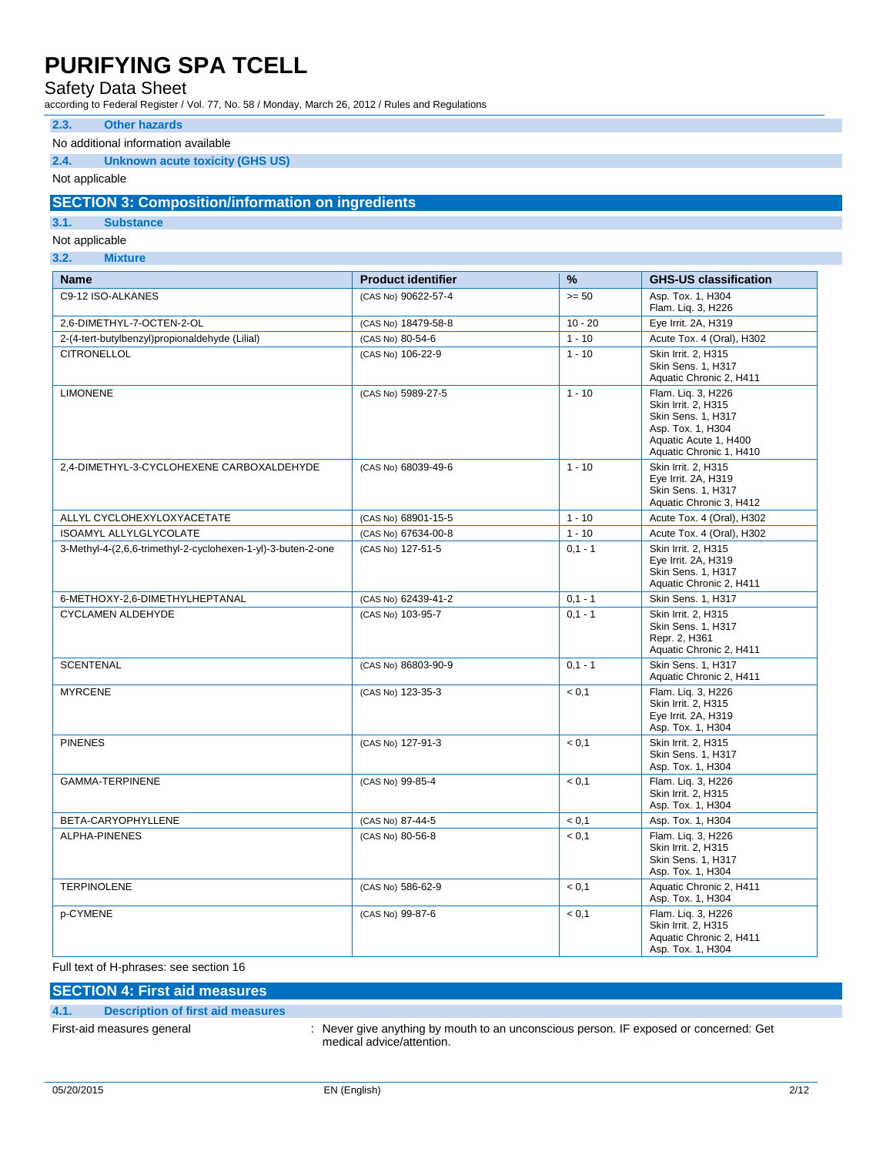### Safety Data Sheet

according to Federal Register / Vol. 77, No. 58 / Monday, March 26, 2012 / Rules and Regulations

#### **2.3. Other hazards**

### No additional information available

### **2.4. Unknown acute toxicity (GHS US)**

Not applicable

### **SECTION 3: Composition/information on ingredients**

### **3.1. Substance**

Not applicable

**3.2. Mixture**

| <b>Name</b>                                                  | <b>Product identifier</b> | $\frac{9}{6}$ | <b>GHS-US classification</b>                                                                                                             |
|--------------------------------------------------------------|---------------------------|---------------|------------------------------------------------------------------------------------------------------------------------------------------|
| C9-12 ISO-ALKANES                                            | (CAS No) 90622-57-4       | $>= 50$       | Asp. Tox. 1, H304<br>Flam. Liq. 3, H226                                                                                                  |
| 2,6-DIMETHYL-7-OCTEN-2-OL                                    | (CAS No) 18479-58-8       | $10 - 20$     | Eye Irrit. 2A, H319                                                                                                                      |
| 2-(4-tert-butylbenzyl)propionaldehyde (Lilial)               | (CAS No) 80-54-6          | $1 - 10$      | Acute Tox. 4 (Oral), H302                                                                                                                |
| <b>CITRONELLOL</b>                                           | (CAS No) 106-22-9         | $1 - 10$      | Skin Irrit. 2. H315<br><b>Skin Sens. 1. H317</b><br>Aquatic Chronic 2, H411                                                              |
| <b>LIMONENE</b>                                              | (CAS No) 5989-27-5        | $1 - 10$      | Flam. Liq. 3, H226<br>Skin Irrit. 2. H315<br>Skin Sens. 1, H317<br>Asp. Tox. 1. H304<br>Aquatic Acute 1, H400<br>Aquatic Chronic 1, H410 |
| 2.4-DIMETHYL-3-CYCLOHEXENE CARBOXALDEHYDE                    | (CAS No) 68039-49-6       | $1 - 10$      | Skin Irrit. 2. H315<br>Eye Irrit. 2A, H319<br><b>Skin Sens. 1. H317</b><br>Aquatic Chronic 3, H412                                       |
| ALLYL CYCLOHEXYLOXYACETATE                                   | (CAS No) 68901-15-5       | $1 - 10$      | Acute Tox. 4 (Oral), H302                                                                                                                |
| <b>ISOAMYL ALLYLGLYCOLATE</b>                                | (CAS No) 67634-00-8       | $1 - 10$      | Acute Tox. 4 (Oral), H302                                                                                                                |
| 3-Methyl-4-(2,6,6-trimethyl-2-cyclohexen-1-yl)-3-buten-2-one | (CAS No) 127-51-5         | $0,1 - 1$     | Skin Irrit. 2, H315<br>Eye Irrit. 2A, H319<br>Skin Sens. 1, H317<br>Aquatic Chronic 2, H411                                              |
| 6-METHOXY-2,6-DIMETHYLHEPTANAL                               | (CAS No) 62439-41-2       | $0,1 - 1$     | Skin Sens. 1, H317                                                                                                                       |
| <b>CYCLAMEN ALDEHYDE</b>                                     | (CAS No) 103-95-7         | $0.1 - 1$     | Skin Irrit. 2. H315<br><b>Skin Sens. 1. H317</b><br>Repr. 2, H361<br>Aquatic Chronic 2, H411                                             |
| <b>SCENTENAL</b>                                             | (CAS No) 86803-90-9       | $0.1 - 1$     | Skin Sens. 1, H317<br>Aquatic Chronic 2, H411                                                                                            |
| <b>MYRCENE</b>                                               | (CAS No) 123-35-3         | < 0.1         | Flam. Liq. 3, H226<br>Skin Irrit. 2, H315<br>Eye Irrit. 2A, H319<br>Asp. Tox. 1, H304                                                    |
| <b>PINENES</b>                                               | (CAS No) 127-91-3         | < 0.1         | Skin Irrit. 2. H315<br>Skin Sens. 1, H317<br>Asp. Tox. 1, H304                                                                           |
| GAMMA-TERPINENE                                              | (CAS No) 99-85-4          | < 0.1         | Flam. Liq. 3, H226<br>Skin Irrit. 2, H315<br>Asp. Tox. 1, H304                                                                           |
| BETA-CARYOPHYLLENE                                           | (CAS No) 87-44-5          | < 0.1         | Asp. Tox. 1, H304                                                                                                                        |
| ALPHA-PINENES                                                | (CAS No) 80-56-8          | < 0.1         | Flam. Liq. 3, H226<br>Skin Irrit. 2, H315<br><b>Skin Sens. 1. H317</b><br>Asp. Tox. 1, H304                                              |
| <b>TERPINOLENE</b>                                           | (CAS No) 586-62-9         | < 0.1         | Aquatic Chronic 2, H411<br>Asp. Tox. 1, H304                                                                                             |
| p-CYMENE                                                     | (CAS No) 99-87-6          | < 0.1         | Flam. Lig. 3, H226<br>Skin Irrit. 2, H315<br>Aquatic Chronic 2, H411<br>Asp. Tox. 1, H304                                                |

Full text of H-phrases: see section 16

## **SECTION 4: First aid measures**

**4.1. Description of first aid measures**

First-aid measures general interest in the state of the very give anything by mouth to an unconscious person. IF exposed or concerned: Get medical advice/attention.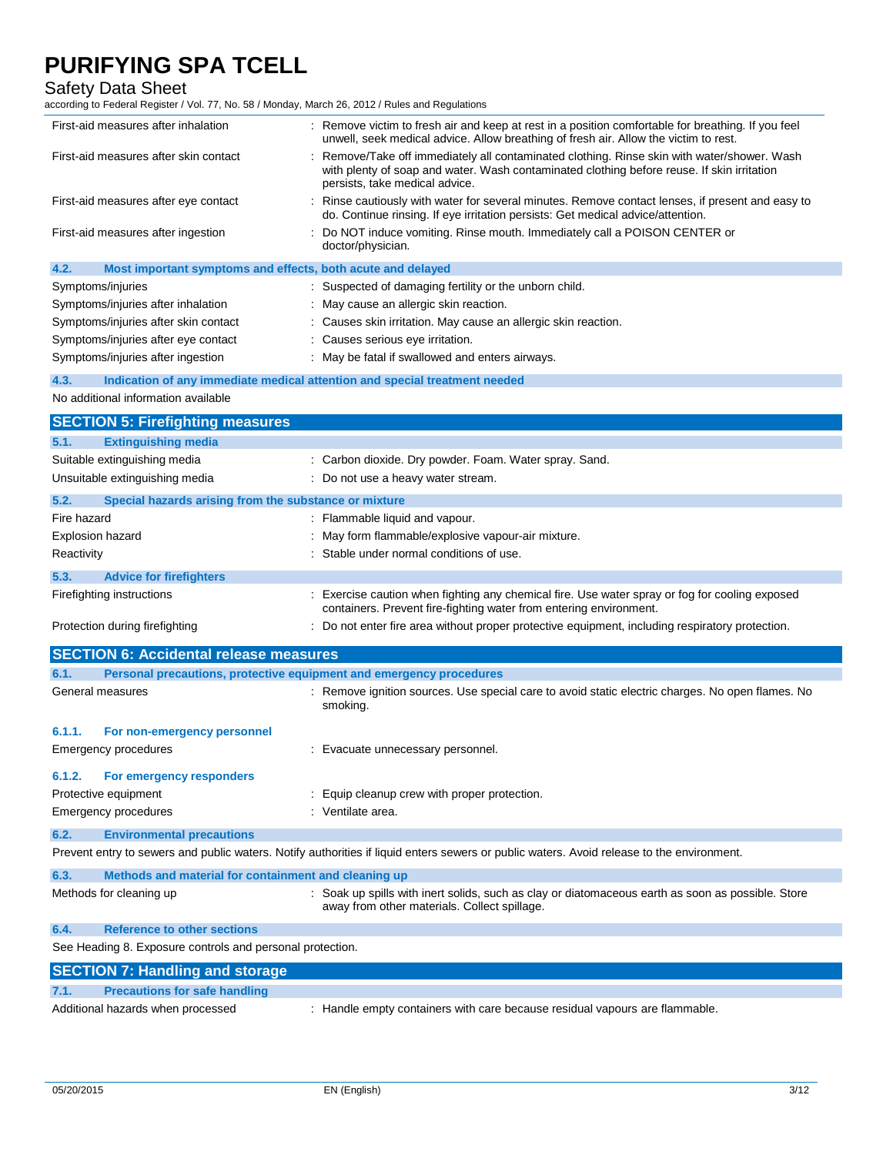Safety Data Sheet

|             | First-aid measures after inhalation                                 | : Remove victim to fresh air and keep at rest in a position comfortable for breathing. If you feel<br>unwell, seek medical advice. Allow breathing of fresh air. Allow the victim to rest.                                |
|-------------|---------------------------------------------------------------------|---------------------------------------------------------------------------------------------------------------------------------------------------------------------------------------------------------------------------|
|             | First-aid measures after skin contact                               | Remove/Take off immediately all contaminated clothing. Rinse skin with water/shower. Wash<br>with plenty of soap and water. Wash contaminated clothing before reuse. If skin irritation<br>persists, take medical advice. |
|             | First-aid measures after eye contact                                | : Rinse cautiously with water for several minutes. Remove contact lenses, if present and easy to<br>do. Continue rinsing. If eye irritation persists: Get medical advice/attention.                                       |
|             | First-aid measures after ingestion                                  | Do NOT induce vomiting. Rinse mouth. Immediately call a POISON CENTER or<br>doctor/physician.                                                                                                                             |
| 4.2.        | Most important symptoms and effects, both acute and delayed         |                                                                                                                                                                                                                           |
|             | Symptoms/injuries                                                   | : Suspected of damaging fertility or the unborn child.                                                                                                                                                                    |
|             | Symptoms/injuries after inhalation                                  | : May cause an allergic skin reaction.                                                                                                                                                                                    |
|             | Symptoms/injuries after skin contact                                | : Causes skin irritation. May cause an allergic skin reaction.                                                                                                                                                            |
|             | Symptoms/injuries after eye contact                                 | : Causes serious eye irritation.                                                                                                                                                                                          |
|             | Symptoms/injuries after ingestion                                   | : May be fatal if swallowed and enters airways.                                                                                                                                                                           |
| 4.3.        |                                                                     | Indication of any immediate medical attention and special treatment needed                                                                                                                                                |
|             | No additional information available                                 |                                                                                                                                                                                                                           |
|             | <b>SECTION 5: Firefighting measures</b>                             |                                                                                                                                                                                                                           |
| 5.1.        | <b>Extinguishing media</b>                                          |                                                                                                                                                                                                                           |
|             | Suitable extinguishing media                                        | : Carbon dioxide. Dry powder. Foam. Water spray. Sand.                                                                                                                                                                    |
|             | Unsuitable extinguishing media                                      | : Do not use a heavy water stream.                                                                                                                                                                                        |
| 5.2.        | Special hazards arising from the substance or mixture               |                                                                                                                                                                                                                           |
| Fire hazard |                                                                     | : Flammable liquid and vapour.                                                                                                                                                                                            |
|             | Explosion hazard                                                    | : May form flammable/explosive vapour-air mixture.                                                                                                                                                                        |
| Reactivity  |                                                                     | : Stable under normal conditions of use.                                                                                                                                                                                  |
|             |                                                                     |                                                                                                                                                                                                                           |
| 5.3.        | <b>Advice for firefighters</b>                                      |                                                                                                                                                                                                                           |
|             | Firefighting instructions                                           | : Exercise caution when fighting any chemical fire. Use water spray or fog for cooling exposed<br>containers. Prevent fire-fighting water from entering environment.                                                      |
|             | Protection during firefighting                                      | : Do not enter fire area without proper protective equipment, including respiratory protection.                                                                                                                           |
|             |                                                                     |                                                                                                                                                                                                                           |
|             | <b>SECTION 6: Accidental release measures</b>                       |                                                                                                                                                                                                                           |
| 6.1.        | Personal precautions, protective equipment and emergency procedures |                                                                                                                                                                                                                           |
|             | General measures                                                    | : Remove ignition sources. Use special care to avoid static electric charges. No open flames. No<br>smoking.                                                                                                              |
| 6.1.1.      | For non-emergency personnel                                         |                                                                                                                                                                                                                           |
|             | Emergency procedures                                                | : Evacuate unnecessary personnel.                                                                                                                                                                                         |
| 6.1.2.      | For emergency responders                                            |                                                                                                                                                                                                                           |
|             | Protective equipment                                                | Equip cleanup crew with proper protection.                                                                                                                                                                                |
|             | <b>Emergency procedures</b>                                         | : Ventilate area.                                                                                                                                                                                                         |
|             |                                                                     |                                                                                                                                                                                                                           |
| 6.2.        | <b>Environmental precautions</b>                                    | Prevent entry to sewers and public waters. Notify authorities if liquid enters sewers or public waters. Avoid release to the environment.                                                                                 |
|             |                                                                     |                                                                                                                                                                                                                           |
| 6.3.        | Methods and material for containment and cleaning up                |                                                                                                                                                                                                                           |
|             | Methods for cleaning up                                             | : Soak up spills with inert solids, such as clay or diatomaceous earth as soon as possible. Store<br>away from other materials. Collect spillage.                                                                         |
| 6.4.        | <b>Reference to other sections</b>                                  |                                                                                                                                                                                                                           |
|             | See Heading 8. Exposure controls and personal protection.           |                                                                                                                                                                                                                           |
|             | <b>SECTION 7: Handling and storage</b>                              |                                                                                                                                                                                                                           |
| 7.1.        | <b>Precautions for safe handling</b>                                |                                                                                                                                                                                                                           |
|             | Additional hazards when processed                                   | : Handle empty containers with care because residual vapours are flammable.                                                                                                                                               |
|             |                                                                     |                                                                                                                                                                                                                           |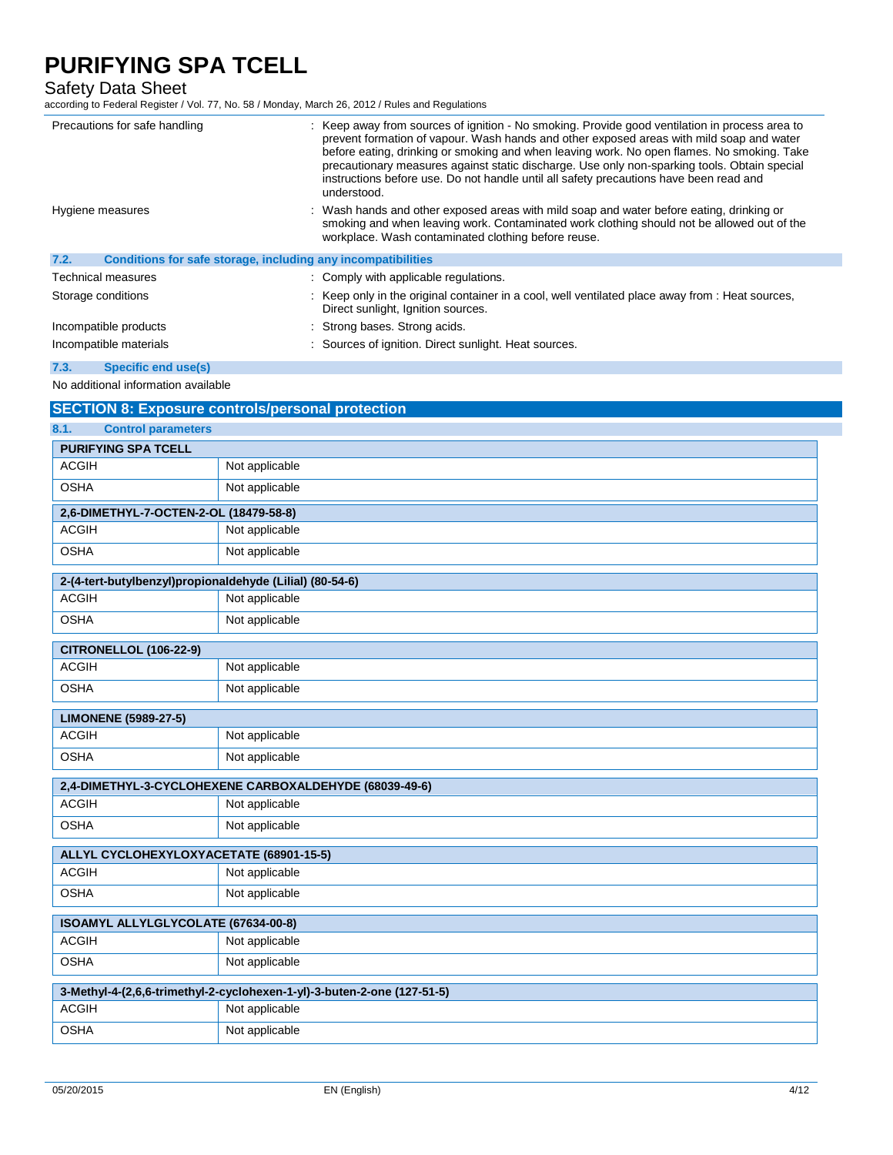### Safety Data Sheet

according to Federal Register / Vol. 77, No. 58 / Monday, March 26, 2012 / Rules and Regulations

| Precautions for safe handling                                        | : Keep away from sources of ignition - No smoking. Provide good ventilation in process area to<br>prevent formation of vapour. Wash hands and other exposed areas with mild soap and water<br>before eating, drinking or smoking and when leaving work. No open flames. No smoking. Take<br>precautionary measures against static discharge. Use only non-sparking tools. Obtain special<br>instructions before use. Do not handle until all safety precautions have been read and<br>understood. |
|----------------------------------------------------------------------|---------------------------------------------------------------------------------------------------------------------------------------------------------------------------------------------------------------------------------------------------------------------------------------------------------------------------------------------------------------------------------------------------------------------------------------------------------------------------------------------------|
| Hygiene measures                                                     | : Wash hands and other exposed areas with mild soap and water before eating, drinking or<br>smoking and when leaving work. Contaminated work clothing should not be allowed out of the<br>workplace. Wash contaminated clothing before reuse.                                                                                                                                                                                                                                                     |
| 7.2.<br>Conditions for safe storage, including any incompatibilities |                                                                                                                                                                                                                                                                                                                                                                                                                                                                                                   |
| <b>Technical measures</b>                                            | : Comply with applicable regulations.                                                                                                                                                                                                                                                                                                                                                                                                                                                             |
| Storage conditions                                                   | : Keep only in the original container in a cool, well ventilated place away from : Heat sources,<br>Direct sunlight, Ignition sources.                                                                                                                                                                                                                                                                                                                                                            |
| Incompatible products                                                | : Strong bases. Strong acids.                                                                                                                                                                                                                                                                                                                                                                                                                                                                     |
| Incompatible materials                                               | : Sources of ignition. Direct sunlight. Heat sources.                                                                                                                                                                                                                                                                                                                                                                                                                                             |

#### **7.3. Specific end use(s)**

No additional information available

## **SECTION 8: Exposure controls/personal protection 8.1. Control parameters PURIFYING SPA TCELL** ACGIH Not applicable OSHA Not applicable **2,6-DIMETHYL-7-OCTEN-2-OL (18479-58-8)** ACGIH Not applicable OSHA Not applicable **2-(4-tert-butylbenzyl)propionaldehyde (Lilial) (80-54-6)** ACGIH Not applicable OSHA Not applicable **CITRONELLOL (106-22-9)** ACGIH Not applicable OSHA Not applicable **LIMONENE (5989-27-5)** ACGIH Not applicable OSHA Not applicable **2,4-DIMETHYL-3-CYCLOHEXENE CARBOXALDEHYDE (68039-49-6)** ACGIH Not applicable OSHA Not applicable **ALLYL CYCLOHEXYLOXYACETATE (68901-15-5)** ACGIH Not applicable OSHA Not applicable **ISOAMYL ALLYLGLYCOLATE (67634-00-8)** ACGIH Not applicable OSHA Not applicable **3-Methyl-4-(2,6,6-trimethyl-2-cyclohexen-1-yl)-3-buten-2-one (127-51-5)** ACGIH Not applicable OSHA Not applicable

T.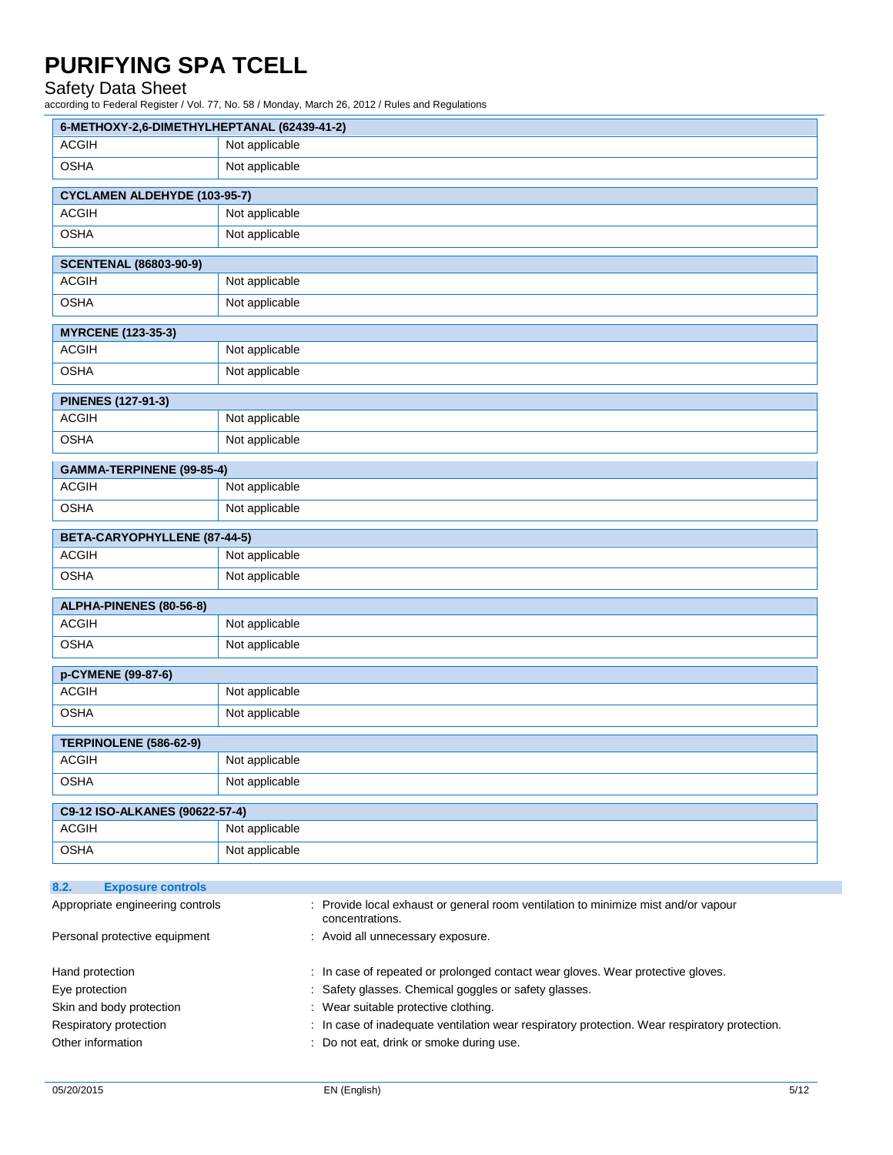### Safety Data Sheet

| 6-METHOXY-2,6-DIMETHYLHEPTANAL (62439-41-2)                          |                |                                                                                  |
|----------------------------------------------------------------------|----------------|----------------------------------------------------------------------------------|
| <b>ACGIH</b>                                                         | Not applicable |                                                                                  |
| <b>OSHA</b>                                                          | Not applicable |                                                                                  |
| <b>CYCLAMEN ALDEHYDE (103-95-7)</b>                                  |                |                                                                                  |
| <b>ACGIH</b>                                                         | Not applicable |                                                                                  |
| <b>OSHA</b>                                                          | Not applicable |                                                                                  |
| <b>SCENTENAL (86803-90-9)</b>                                        |                |                                                                                  |
| <b>ACGIH</b>                                                         | Not applicable |                                                                                  |
| <b>OSHA</b>                                                          | Not applicable |                                                                                  |
| <b>MYRCENE (123-35-3)</b>                                            |                |                                                                                  |
| <b>ACGIH</b>                                                         | Not applicable |                                                                                  |
| <b>OSHA</b>                                                          | Not applicable |                                                                                  |
| <b>PINENES (127-91-3)</b>                                            |                |                                                                                  |
| <b>ACGIH</b>                                                         | Not applicable |                                                                                  |
| <b>OSHA</b>                                                          | Not applicable |                                                                                  |
| GAMMA-TERPINENE (99-85-4)                                            |                |                                                                                  |
| <b>ACGIH</b>                                                         | Not applicable |                                                                                  |
| <b>OSHA</b>                                                          | Not applicable |                                                                                  |
| BETA-CARYOPHYLLENE (87-44-5)                                         |                |                                                                                  |
| <b>ACGIH</b>                                                         | Not applicable |                                                                                  |
| <b>OSHA</b>                                                          | Not applicable |                                                                                  |
| ALPHA-PINENES (80-56-8)                                              |                |                                                                                  |
| <b>ACGIH</b>                                                         | Not applicable |                                                                                  |
| <b>OSHA</b>                                                          | Not applicable |                                                                                  |
| p-CYMENE (99-87-6)                                                   |                |                                                                                  |
| <b>ACGIH</b>                                                         | Not applicable |                                                                                  |
| <b>OSHA</b>                                                          | Not applicable |                                                                                  |
| TERPINOLENE (586-62-9)                                               |                |                                                                                  |
| <b>ACGIH</b>                                                         | Not applicable |                                                                                  |
| <b>OSHA</b>                                                          | Not applicable |                                                                                  |
| C9-12 ISO-ALKANES (90622-57-4)                                       |                |                                                                                  |
| <b>ACGIH</b>                                                         | Not applicable |                                                                                  |
| <b>OSHA</b>                                                          | Not applicable |                                                                                  |
|                                                                      |                |                                                                                  |
| <b>Exposure controls</b><br>8.2.<br>Appropriate engineering controls |                | Provide local exhaust or general room ventilation to minimize mist and/or vapour |
|                                                                      |                | concentrations.                                                                  |
| Personal protective equipment                                        |                | Avoid all unnecessary exposure.                                                  |
| Hand protection                                                      |                | In case of repeated or prolonged contact wear gloves. Wear protective gloves.    |
| Eye protection                                                       |                | Safety glasses. Chemical goggles or safety glasses.                              |

- Skin and body protection : Wear suitable protective clothing.
- Respiratory protection : In case of inadequate ventilation wear respiratory protection. Wear respiratory protection.
- Other information **contains the container of the container**  $\cdot$  Do not eat, drink or smoke during use.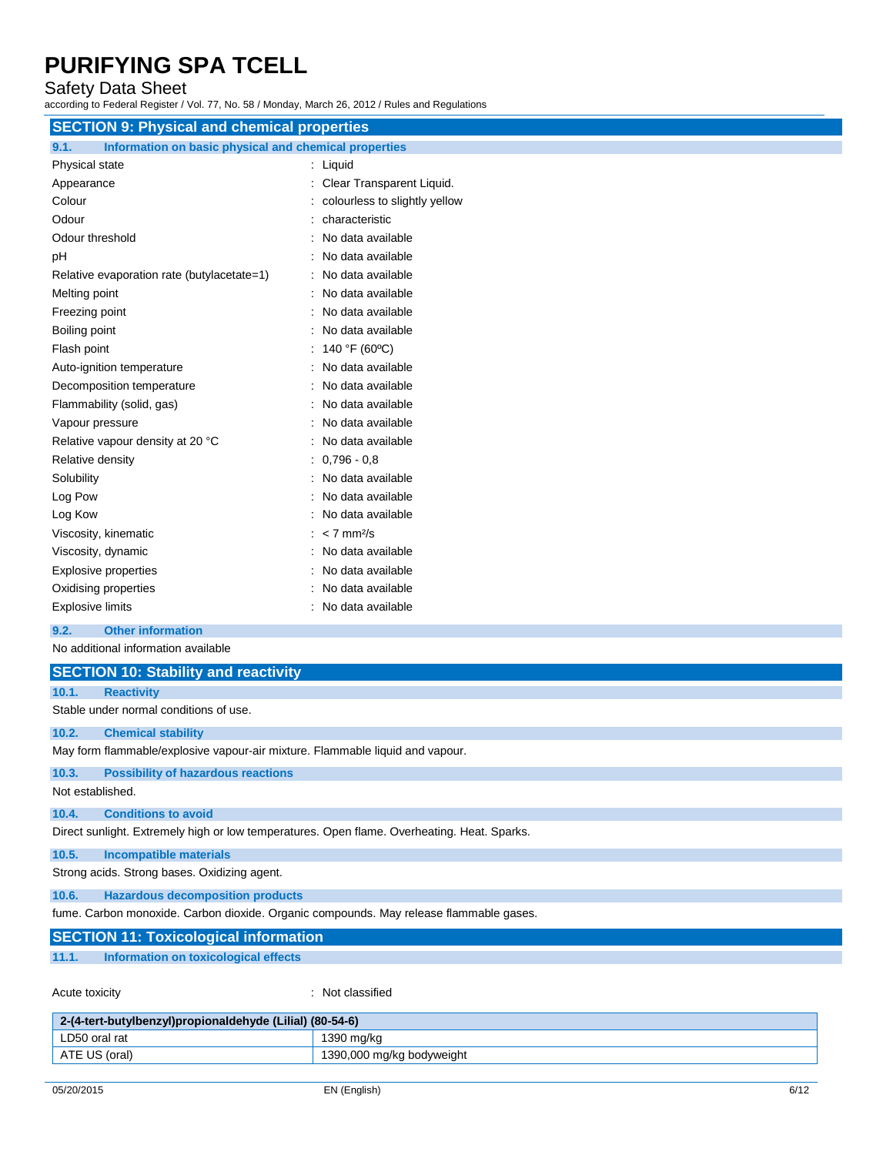### Safety Data Sheet

according to Federal Register / Vol. 77, No. 58 / Monday, March 26, 2012 / Rules and Regulations

| <b>SECTION 9: Physical and chemical properties</b>            |                               |  |
|---------------------------------------------------------------|-------------------------------|--|
| 9.1.<br>Information on basic physical and chemical properties |                               |  |
| Physical state                                                | : Liquid                      |  |
| Appearance                                                    | : Clear Transparent Liquid.   |  |
| Colour                                                        | colourless to slightly yellow |  |
| Odour                                                         | characteristic                |  |
| Odour threshold                                               | No data available             |  |
| pH                                                            | No data available             |  |
| Relative evaporation rate (butylacetate=1)                    | : No data available           |  |
| Melting point                                                 | No data available             |  |
| Freezing point                                                | No data available             |  |
| Boiling point                                                 | No data available             |  |
| Flash point                                                   | 140 °F (60°C)                 |  |
| Auto-ignition temperature                                     | : No data available           |  |
| Decomposition temperature                                     | No data available             |  |
| Flammability (solid, gas)                                     | No data available             |  |
| Vapour pressure                                               | No data available             |  |
| Relative vapour density at 20 °C                              | No data available             |  |
| Relative density                                              | $0,796 - 0.8$                 |  |
| Solubility                                                    | No data available             |  |
| Log Pow                                                       | No data available             |  |
| Log Kow                                                       | No data available             |  |
| Viscosity, kinematic                                          | $< 7$ mm <sup>2</sup> /s      |  |
| Viscosity, dynamic                                            | No data available             |  |
| <b>Explosive properties</b>                                   | No data available             |  |
| Oxidising properties                                          | No data available             |  |
| <b>Explosive limits</b>                                       | No data available             |  |
| <b>Other information</b><br>9.2.                              |                               |  |
| No additional information available                           |                               |  |
| <b>SECTION 10: Stability and reactivity</b>                   |                               |  |
| 10.1.<br><b>Reactivity</b>                                    |                               |  |
| Stable under normal conditions of use.                        |                               |  |
| $\sqrt{2}$<br>Observational installations                     |                               |  |

**10.2. Chemical stability** May form flammable/explosive vapour-air mixture. Flammable liquid and vapour.

#### **10.3. Possibility of hazardous reactions**

Not established.

### **10.4. Conditions to avoid** Direct sunlight. Extremely high or low temperatures. Open flame. Overheating. Heat. Sparks.

**10.5. Incompatible materials**

Strong acids. Strong bases. Oxidizing agent.

**10.6. Hazardous decomposition products**

fume. Carbon monoxide. Carbon dioxide. Organic compounds. May release flammable gases.

### **SECTION 11: Toxicological information**

**11.1. Information on toxicological effects**

Acute toxicity in the classified in the classified in the classified in the classified in the classified in the classified in the classified in the classified in the classified in the classified in the classified in the cl

| 2-(4-tert-butylbenzyl)propionaldehyde (Lilial) (80-54-6) |                           |
|----------------------------------------------------------|---------------------------|
| LD50 oral rat                                            | 1390 ma/ka                |
| ATE US (oral)                                            | 1390,000 mg/kg bodyweight |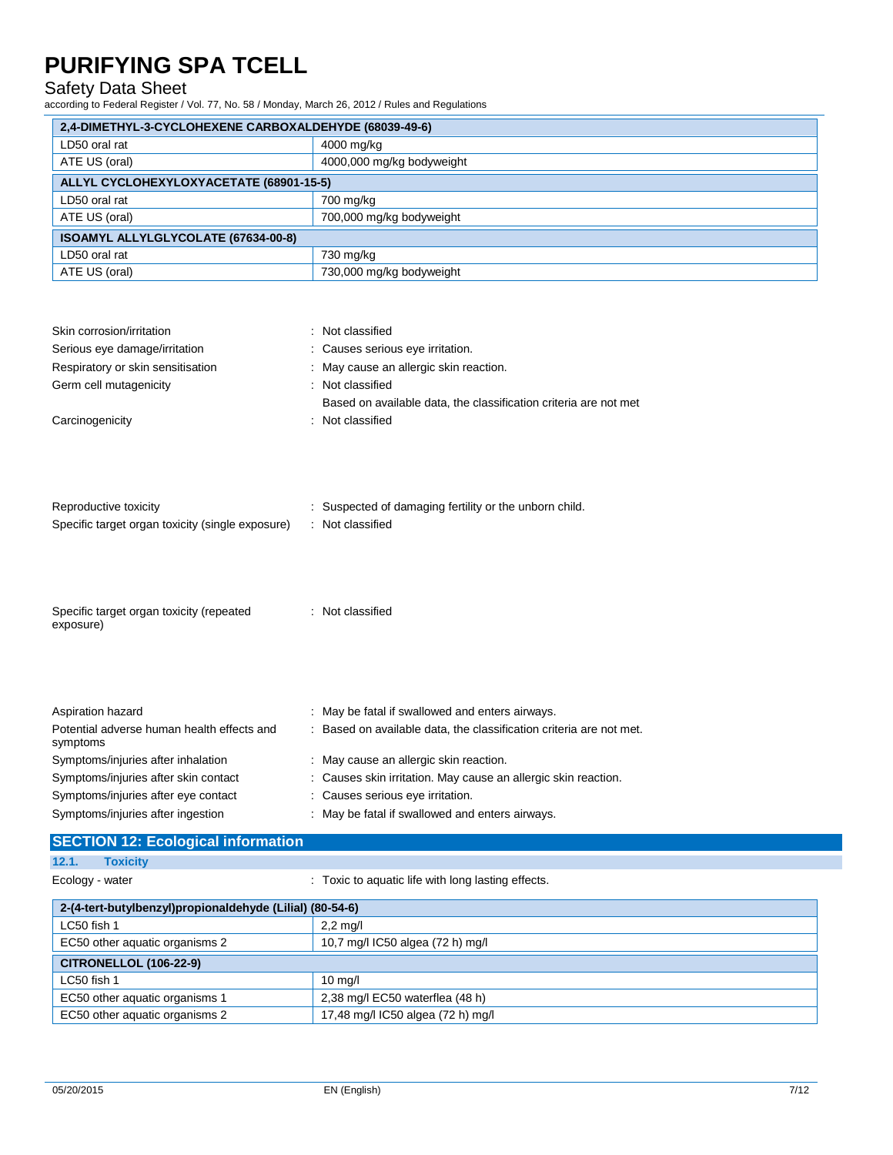### Safety Data Sheet

according to Federal Register / Vol. 77, No. 58 / Monday, March 26, 2012 / Rules and Regulations

| 2,4-DIMETHYL-3-CYCLOHEXENE CARBOXALDEHYDE (68039-49-6)                                                                                                                                                                                |                                                                                                                                                                                                                                                                                                                 |  |
|---------------------------------------------------------------------------------------------------------------------------------------------------------------------------------------------------------------------------------------|-----------------------------------------------------------------------------------------------------------------------------------------------------------------------------------------------------------------------------------------------------------------------------------------------------------------|--|
| LD50 oral rat                                                                                                                                                                                                                         | 4000 mg/kg                                                                                                                                                                                                                                                                                                      |  |
| ATE US (oral)                                                                                                                                                                                                                         | 4000,000 mg/kg bodyweight                                                                                                                                                                                                                                                                                       |  |
| ALLYL CYCLOHEXYLOXYACETATE (68901-15-5)                                                                                                                                                                                               |                                                                                                                                                                                                                                                                                                                 |  |
| LD50 oral rat                                                                                                                                                                                                                         | 700 mg/kg                                                                                                                                                                                                                                                                                                       |  |
| ATE US (oral)                                                                                                                                                                                                                         | 700,000 mg/kg bodyweight                                                                                                                                                                                                                                                                                        |  |
| ISOAMYL ALLYLGLYCOLATE (67634-00-8)                                                                                                                                                                                                   |                                                                                                                                                                                                                                                                                                                 |  |
| LD50 oral rat                                                                                                                                                                                                                         | 730 mg/kg                                                                                                                                                                                                                                                                                                       |  |
| ATE US (oral)                                                                                                                                                                                                                         | 730,000 mg/kg bodyweight                                                                                                                                                                                                                                                                                        |  |
| Skin corrosion/irritation                                                                                                                                                                                                             | : Not classified                                                                                                                                                                                                                                                                                                |  |
| Serious eye damage/irritation                                                                                                                                                                                                         | Causes serious eye irritation.                                                                                                                                                                                                                                                                                  |  |
| Respiratory or skin sensitisation                                                                                                                                                                                                     | May cause an allergic skin reaction.                                                                                                                                                                                                                                                                            |  |
| Germ cell mutagenicity                                                                                                                                                                                                                | : Not classified                                                                                                                                                                                                                                                                                                |  |
|                                                                                                                                                                                                                                       | Based on available data, the classification criteria are not met                                                                                                                                                                                                                                                |  |
| Carcinogenicity                                                                                                                                                                                                                       | Not classified<br>÷                                                                                                                                                                                                                                                                                             |  |
| Reproductive toxicity<br>Specific target organ toxicity (single exposure)<br>Specific target organ toxicity (repeated<br>exposure)                                                                                                    | Suspected of damaging fertility or the unborn child.<br>: Not classified<br>: Not classified                                                                                                                                                                                                                    |  |
| Aspiration hazard<br>Potential adverse human health effects and<br>symptoms<br>Symptoms/injuries after inhalation<br>Symptoms/injuries after skin contact<br>Symptoms/injuries after eye contact<br>Symptoms/injuries after ingestion | May be fatal if swallowed and enters airways.<br>Based on available data, the classification criteria are not met.<br>May cause an allergic skin reaction.<br>Causes skin irritation. May cause an allergic skin reaction.<br>Causes serious eye irritation.<br>: May be fatal if swallowed and enters airways. |  |

## **SECTION 12: Ecological information**

**12.1. Toxicity**

Ecology - water **interpretent in the Cology - water**  $\cdot$  Toxic to aquatic life with long lasting effects.

| 2-(4-tert-butylbenzyl)propionaldehyde (Lilial) (80-54-6) |                                   |  |
|----------------------------------------------------------|-----------------------------------|--|
| LC50 fish 1                                              | $2,2 \text{ mq/l}$                |  |
| EC50 other aquatic organisms 2                           | 10,7 mg/l IC50 algea (72 h) mg/l  |  |
| <b>CITRONELLOL (106-22-9)</b>                            |                                   |  |
| LC50 fish 1                                              | $10 \text{ ma/l}$                 |  |
| EC50 other aquatic organisms 1                           | 2,38 mg/l EC50 waterflea (48 h)   |  |
| EC50 other aquatic organisms 2                           | 17,48 mg/l IC50 algea (72 h) mg/l |  |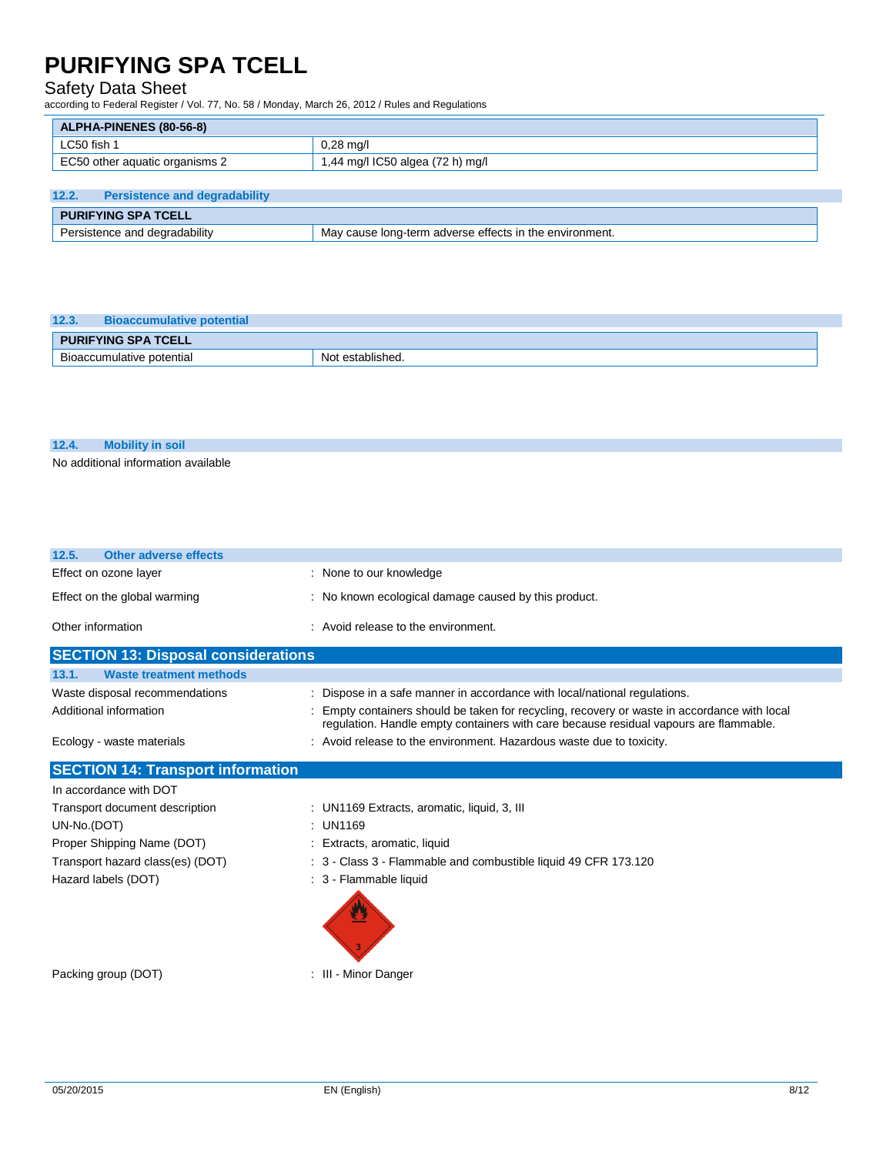### Safety Data Sheet

according to Federal Register / Vol. 77, No. 58 / Monday, March 26, 2012 / Rules and Regulations

| <b>ALPHA-PINENES (80-56-8)</b> |                                  |
|--------------------------------|----------------------------------|
| LC50 fish 1                    | $0,28 \text{ mq/l}$              |
| EC50 other aquatic organisms 2 | 1,44 mg/l IC50 algea (72 h) mg/l |
|                                |                                  |

| 12.2.                         | <b>Persistence and degradability</b> |                                                         |  |  |
|-------------------------------|--------------------------------------|---------------------------------------------------------|--|--|
| <b>PURIFYING SPA TCELL</b>    |                                      |                                                         |  |  |
| Persistence and degradability |                                      | May cause long-term adverse effects in the environment. |  |  |

| 12.3.<br><b>Bioaccumulative potential</b> |                  |  |  |  |
|-------------------------------------------|------------------|--|--|--|
| <b>PURIFYING SPA TCELL</b>                |                  |  |  |  |
| Bioaccumulative potential                 | Not established. |  |  |  |

### **12.4. Mobility in soil**

No additional information available

| <b>Other adverse effects</b><br>12.5.      |                                                                                                                                                                                     |
|--------------------------------------------|-------------------------------------------------------------------------------------------------------------------------------------------------------------------------------------|
| Effect on ozone layer                      | : None to our knowledge                                                                                                                                                             |
| Effect on the global warming               | : No known ecological damage caused by this product.                                                                                                                                |
| Other information                          | : Avoid release to the environment.                                                                                                                                                 |
| <b>SECTION 13: Disposal considerations</b> |                                                                                                                                                                                     |
| <b>Waste treatment methods</b><br>13.1.    |                                                                                                                                                                                     |
| Waste disposal recommendations             | : Dispose in a safe manner in accordance with local/national regulations.                                                                                                           |
| Additional information                     | Empty containers should be taken for recycling, recovery or waste in accordance with local<br>regulation. Handle empty containers with care because residual vapours are flammable. |
| Ecology - waste materials                  | : Avoid release to the environment. Hazardous waste due to toxicity.                                                                                                                |
| <b>SECTION 14: Transport information</b>   |                                                                                                                                                                                     |
| In accordance with DOT                     |                                                                                                                                                                                     |
| Transport document description             | : UN1169 Extracts, aromatic, liquid, 3, III                                                                                                                                         |
| UN-No.(DOT)                                | : UN1169                                                                                                                                                                            |
| Proper Shipping Name (DOT)                 | : Extracts, aromatic, liquid                                                                                                                                                        |
| Transport hazard class(es) (DOT)           | : 3 - Class 3 - Flammable and combustible liquid 49 CFR 173.120                                                                                                                     |
| Hazard labels (DOT)                        | : 3 - Flammable liquid                                                                                                                                                              |

Packing group (DOT) **in the case of the COV**  $\sim$  10  $\cdot$  111 - Minor Danger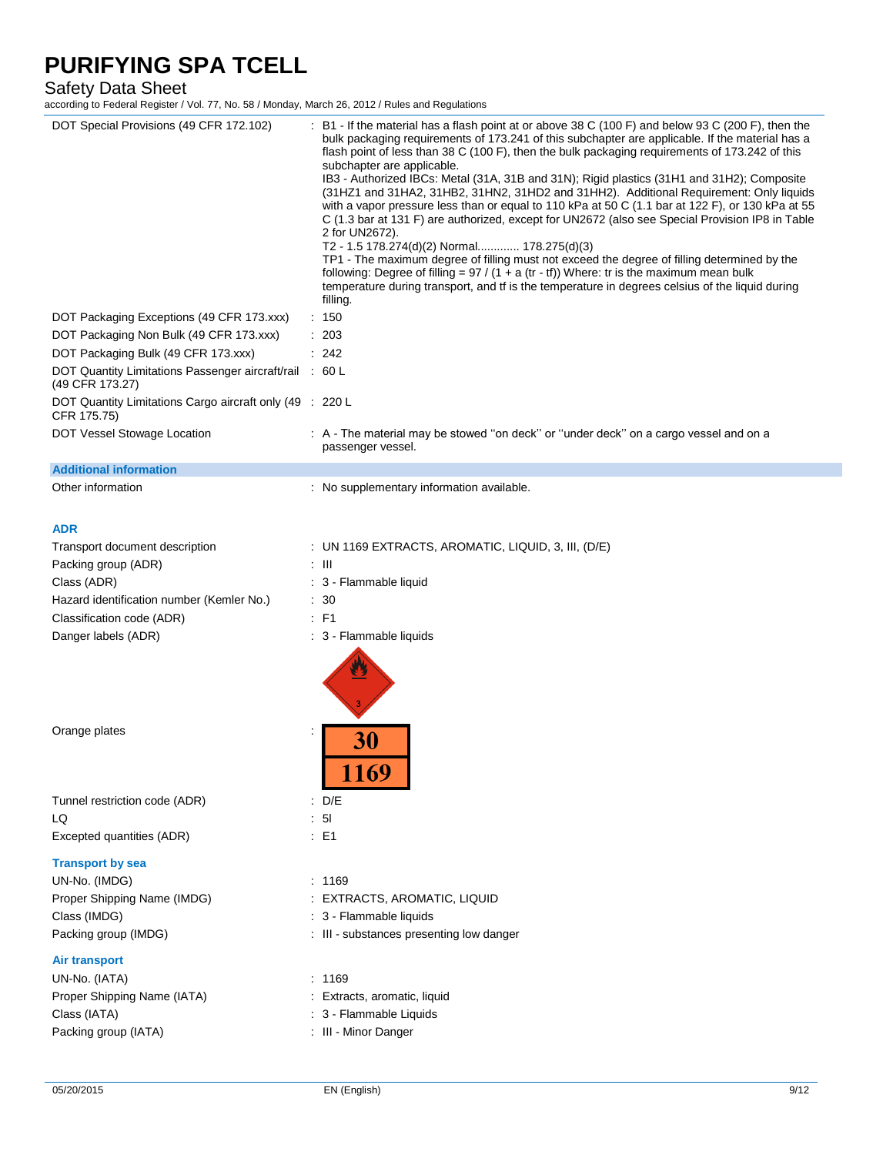### Safety Data Sheet

| DOT Special Provisions (49 CFR 172.102)                                    | B1 - If the material has a flash point at or above 38 C (100 F) and below 93 C (200 F), then the<br>bulk packaging requirements of 173.241 of this subchapter are applicable. If the material has a<br>flash point of less than 38 C (100 F), then the bulk packaging requirements of 173.242 of this<br>subchapter are applicable.<br>IB3 - Authorized IBCs: Metal (31A, 31B and 31N); Rigid plastics (31H1 and 31H2); Composite<br>(31HZ1 and 31HA2, 31HB2, 31HN2, 31HD2 and 31HH2). Additional Requirement: Only liquids<br>with a vapor pressure less than or equal to 110 kPa at 50 C (1.1 bar at 122 F), or 130 kPa at 55<br>C (1.3 bar at 131 F) are authorized, except for UN2672 (also see Special Provision IP8 in Table<br>2 for UN2672).<br>T2 - 1.5 178.274(d)(2) Normal 178.275(d)(3)<br>TP1 - The maximum degree of filling must not exceed the degree of filling determined by the<br>following: Degree of filling = $97 / (1 + a (tr - tf))$ Where: tr is the maximum mean bulk<br>temperature during transport, and tf is the temperature in degrees celsius of the liquid during<br>filling. |      |
|----------------------------------------------------------------------------|-----------------------------------------------------------------------------------------------------------------------------------------------------------------------------------------------------------------------------------------------------------------------------------------------------------------------------------------------------------------------------------------------------------------------------------------------------------------------------------------------------------------------------------------------------------------------------------------------------------------------------------------------------------------------------------------------------------------------------------------------------------------------------------------------------------------------------------------------------------------------------------------------------------------------------------------------------------------------------------------------------------------------------------------------------------------------------------------------------------------|------|
| DOT Packaging Exceptions (49 CFR 173.xxx)                                  | : 150                                                                                                                                                                                                                                                                                                                                                                                                                                                                                                                                                                                                                                                                                                                                                                                                                                                                                                                                                                                                                                                                                                           |      |
| DOT Packaging Non Bulk (49 CFR 173.xxx)                                    | : 203                                                                                                                                                                                                                                                                                                                                                                                                                                                                                                                                                                                                                                                                                                                                                                                                                                                                                                                                                                                                                                                                                                           |      |
| DOT Packaging Bulk (49 CFR 173.xxx)                                        | : 242                                                                                                                                                                                                                                                                                                                                                                                                                                                                                                                                                                                                                                                                                                                                                                                                                                                                                                                                                                                                                                                                                                           |      |
|                                                                            |                                                                                                                                                                                                                                                                                                                                                                                                                                                                                                                                                                                                                                                                                                                                                                                                                                                                                                                                                                                                                                                                                                                 |      |
| DOT Quantity Limitations Passenger aircraft/rail : 60 L<br>(49 CFR 173.27) |                                                                                                                                                                                                                                                                                                                                                                                                                                                                                                                                                                                                                                                                                                                                                                                                                                                                                                                                                                                                                                                                                                                 |      |
| DOT Quantity Limitations Cargo aircraft only (49 : 220 L<br>CFR 175.75)    |                                                                                                                                                                                                                                                                                                                                                                                                                                                                                                                                                                                                                                                                                                                                                                                                                                                                                                                                                                                                                                                                                                                 |      |
| DOT Vessel Stowage Location                                                | : A - The material may be stowed "on deck" or "under deck" on a cargo vessel and on a<br>passenger vessel.                                                                                                                                                                                                                                                                                                                                                                                                                                                                                                                                                                                                                                                                                                                                                                                                                                                                                                                                                                                                      |      |
| <b>Additional information</b>                                              |                                                                                                                                                                                                                                                                                                                                                                                                                                                                                                                                                                                                                                                                                                                                                                                                                                                                                                                                                                                                                                                                                                                 |      |
| Other information                                                          | : No supplementary information available.                                                                                                                                                                                                                                                                                                                                                                                                                                                                                                                                                                                                                                                                                                                                                                                                                                                                                                                                                                                                                                                                       |      |
| <b>ADR</b>                                                                 |                                                                                                                                                                                                                                                                                                                                                                                                                                                                                                                                                                                                                                                                                                                                                                                                                                                                                                                                                                                                                                                                                                                 |      |
| Transport document description                                             | : UN 1169 EXTRACTS, AROMATIC, LIQUID, 3, III, $(D/E)$                                                                                                                                                                                                                                                                                                                                                                                                                                                                                                                                                                                                                                                                                                                                                                                                                                                                                                                                                                                                                                                           |      |
| Packing group (ADR)                                                        | : III                                                                                                                                                                                                                                                                                                                                                                                                                                                                                                                                                                                                                                                                                                                                                                                                                                                                                                                                                                                                                                                                                                           |      |
| Class (ADR)                                                                | : 3 - Flammable liquid                                                                                                                                                                                                                                                                                                                                                                                                                                                                                                                                                                                                                                                                                                                                                                                                                                                                                                                                                                                                                                                                                          |      |
| Hazard identification number (Kemler No.)                                  | : 30                                                                                                                                                                                                                                                                                                                                                                                                                                                                                                                                                                                                                                                                                                                                                                                                                                                                                                                                                                                                                                                                                                            |      |
|                                                                            |                                                                                                                                                                                                                                                                                                                                                                                                                                                                                                                                                                                                                                                                                                                                                                                                                                                                                                                                                                                                                                                                                                                 |      |
| Classification code (ADR)<br>Danger labels (ADR)                           | $E$ F1<br>: 3 - Flammable liquids                                                                                                                                                                                                                                                                                                                                                                                                                                                                                                                                                                                                                                                                                                                                                                                                                                                                                                                                                                                                                                                                               |      |
|                                                                            |                                                                                                                                                                                                                                                                                                                                                                                                                                                                                                                                                                                                                                                                                                                                                                                                                                                                                                                                                                                                                                                                                                                 |      |
| Orange plates                                                              | 30<br>1169                                                                                                                                                                                                                                                                                                                                                                                                                                                                                                                                                                                                                                                                                                                                                                                                                                                                                                                                                                                                                                                                                                      |      |
| Tunnel restriction code (ADR)                                              | $\therefore$ D/E                                                                                                                                                                                                                                                                                                                                                                                                                                                                                                                                                                                                                                                                                                                                                                                                                                                                                                                                                                                                                                                                                                |      |
| LQ                                                                         | : 51                                                                                                                                                                                                                                                                                                                                                                                                                                                                                                                                                                                                                                                                                                                                                                                                                                                                                                                                                                                                                                                                                                            |      |
| Excepted quantities (ADR)                                                  | $\therefore$ E1                                                                                                                                                                                                                                                                                                                                                                                                                                                                                                                                                                                                                                                                                                                                                                                                                                                                                                                                                                                                                                                                                                 |      |
| <b>Transport by sea</b>                                                    |                                                                                                                                                                                                                                                                                                                                                                                                                                                                                                                                                                                                                                                                                                                                                                                                                                                                                                                                                                                                                                                                                                                 |      |
| UN-No. (IMDG)                                                              | : 1169                                                                                                                                                                                                                                                                                                                                                                                                                                                                                                                                                                                                                                                                                                                                                                                                                                                                                                                                                                                                                                                                                                          |      |
| Proper Shipping Name (IMDG)                                                | : EXTRACTS, AROMATIC, LIQUID                                                                                                                                                                                                                                                                                                                                                                                                                                                                                                                                                                                                                                                                                                                                                                                                                                                                                                                                                                                                                                                                                    |      |
| Class (IMDG)                                                               | : 3 - Flammable liquids                                                                                                                                                                                                                                                                                                                                                                                                                                                                                                                                                                                                                                                                                                                                                                                                                                                                                                                                                                                                                                                                                         |      |
| Packing group (IMDG)                                                       | : III - substances presenting low danger                                                                                                                                                                                                                                                                                                                                                                                                                                                                                                                                                                                                                                                                                                                                                                                                                                                                                                                                                                                                                                                                        |      |
|                                                                            |                                                                                                                                                                                                                                                                                                                                                                                                                                                                                                                                                                                                                                                                                                                                                                                                                                                                                                                                                                                                                                                                                                                 |      |
| <b>Air transport</b>                                                       |                                                                                                                                                                                                                                                                                                                                                                                                                                                                                                                                                                                                                                                                                                                                                                                                                                                                                                                                                                                                                                                                                                                 |      |
| UN-No. (IATA)                                                              | : 1169                                                                                                                                                                                                                                                                                                                                                                                                                                                                                                                                                                                                                                                                                                                                                                                                                                                                                                                                                                                                                                                                                                          |      |
| Proper Shipping Name (IATA)                                                | : Extracts, aromatic, liquid                                                                                                                                                                                                                                                                                                                                                                                                                                                                                                                                                                                                                                                                                                                                                                                                                                                                                                                                                                                                                                                                                    |      |
| Class (IATA)                                                               | : 3 - Flammable Liquids                                                                                                                                                                                                                                                                                                                                                                                                                                                                                                                                                                                                                                                                                                                                                                                                                                                                                                                                                                                                                                                                                         |      |
| Packing group (IATA)                                                       | : III - Minor Danger                                                                                                                                                                                                                                                                                                                                                                                                                                                                                                                                                                                                                                                                                                                                                                                                                                                                                                                                                                                                                                                                                            |      |
|                                                                            |                                                                                                                                                                                                                                                                                                                                                                                                                                                                                                                                                                                                                                                                                                                                                                                                                                                                                                                                                                                                                                                                                                                 |      |
| 05/20/2015                                                                 | EN (English)                                                                                                                                                                                                                                                                                                                                                                                                                                                                                                                                                                                                                                                                                                                                                                                                                                                                                                                                                                                                                                                                                                    | 9/12 |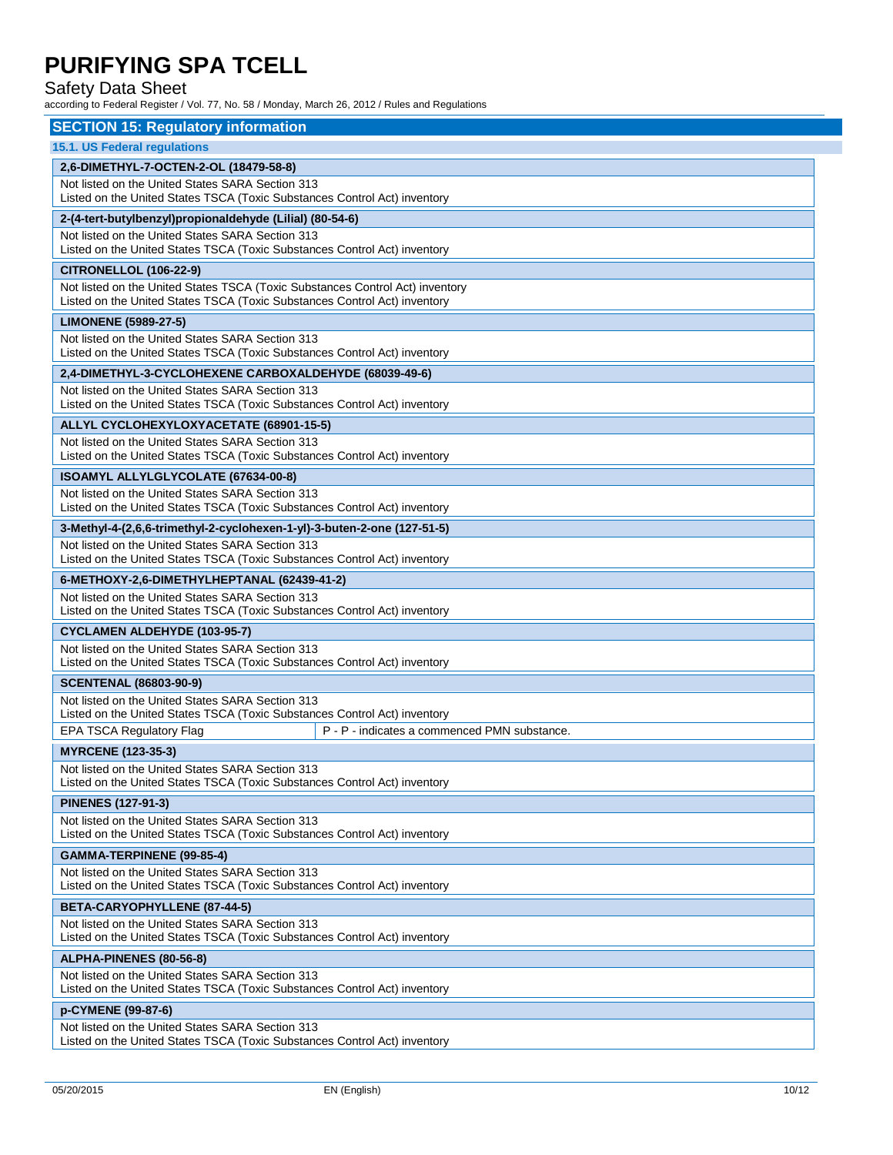### Safety Data Sheet

| <b>SECTION 15: Regulatory information</b>                                                                                     |                                                                                                                               |  |  |  |
|-------------------------------------------------------------------------------------------------------------------------------|-------------------------------------------------------------------------------------------------------------------------------|--|--|--|
| 15.1. US Federal regulations                                                                                                  |                                                                                                                               |  |  |  |
| 2,6-DIMETHYL-7-OCTEN-2-OL (18479-58-8)                                                                                        |                                                                                                                               |  |  |  |
| Not listed on the United States SARA Section 313                                                                              |                                                                                                                               |  |  |  |
|                                                                                                                               | Listed on the United States TSCA (Toxic Substances Control Act) inventory                                                     |  |  |  |
| 2-(4-tert-butylbenzyl)propionaldehyde (Lilial) (80-54-6)                                                                      |                                                                                                                               |  |  |  |
|                                                                                                                               | Not listed on the United States SARA Section 313<br>Listed on the United States TSCA (Toxic Substances Control Act) inventory |  |  |  |
| <b>CITRONELLOL (106-22-9)</b>                                                                                                 |                                                                                                                               |  |  |  |
| Not listed on the United States TSCA (Toxic Substances Control Act) inventory                                                 |                                                                                                                               |  |  |  |
| Listed on the United States TSCA (Toxic Substances Control Act) inventory                                                     |                                                                                                                               |  |  |  |
| <b>LIMONENE (5989-27-5)</b>                                                                                                   |                                                                                                                               |  |  |  |
| Not listed on the United States SARA Section 313<br>Listed on the United States TSCA (Toxic Substances Control Act) inventory |                                                                                                                               |  |  |  |
|                                                                                                                               |                                                                                                                               |  |  |  |
| 2,4-DIMETHYL-3-CYCLOHEXENE CARBOXALDEHYDE (68039-49-6)<br>Not listed on the United States SARA Section 313                    |                                                                                                                               |  |  |  |
| Listed on the United States TSCA (Toxic Substances Control Act) inventory                                                     |                                                                                                                               |  |  |  |
| ALLYL CYCLOHEXYLOXYACETATE (68901-15-5)                                                                                       |                                                                                                                               |  |  |  |
| Not listed on the United States SARA Section 313                                                                              |                                                                                                                               |  |  |  |
| Listed on the United States TSCA (Toxic Substances Control Act) inventory                                                     |                                                                                                                               |  |  |  |
| <b>ISOAMYL ALLYLGLYCOLATE (67634-00-8)</b>                                                                                    |                                                                                                                               |  |  |  |
| Not listed on the United States SARA Section 313<br>Listed on the United States TSCA (Toxic Substances Control Act) inventory |                                                                                                                               |  |  |  |
| 3-Methyl-4-(2,6,6-trimethyl-2-cyclohexen-1-yl)-3-buten-2-one (127-51-5)                                                       |                                                                                                                               |  |  |  |
| Not listed on the United States SARA Section 313                                                                              |                                                                                                                               |  |  |  |
| Listed on the United States TSCA (Toxic Substances Control Act) inventory                                                     |                                                                                                                               |  |  |  |
| 6-METHOXY-2,6-DIMETHYLHEPTANAL (62439-41-2)                                                                                   |                                                                                                                               |  |  |  |
| Not listed on the United States SARA Section 313                                                                              |                                                                                                                               |  |  |  |
| Listed on the United States TSCA (Toxic Substances Control Act) inventory                                                     |                                                                                                                               |  |  |  |
| <b>CYCLAMEN ALDEHYDE (103-95-7)</b>                                                                                           |                                                                                                                               |  |  |  |
| Not listed on the United States SARA Section 313<br>Listed on the United States TSCA (Toxic Substances Control Act) inventory |                                                                                                                               |  |  |  |
| <b>SCENTENAL (86803-90-9)</b>                                                                                                 |                                                                                                                               |  |  |  |
| Not listed on the United States SARA Section 313                                                                              |                                                                                                                               |  |  |  |
|                                                                                                                               |                                                                                                                               |  |  |  |
| Listed on the United States TSCA (Toxic Substances Control Act) inventory                                                     |                                                                                                                               |  |  |  |
| EPA TSCA Regulatory Flag                                                                                                      | P - P - indicates a commenced PMN substance.                                                                                  |  |  |  |
| <b>MYRCENE (123-35-3)</b>                                                                                                     |                                                                                                                               |  |  |  |
| Not listed on the United States SARA Section 313                                                                              |                                                                                                                               |  |  |  |
| Listed on the United States TSCA (Toxic Substances Control Act) inventory                                                     |                                                                                                                               |  |  |  |
| <b>PINENES (127-91-3)</b>                                                                                                     |                                                                                                                               |  |  |  |
| Not listed on the United States SARA Section 313<br>Listed on the United States TSCA (Toxic Substances Control Act) inventory |                                                                                                                               |  |  |  |
| <b>GAMMA-TERPINENE (99-85-4)</b>                                                                                              |                                                                                                                               |  |  |  |
| Not listed on the United States SARA Section 313                                                                              |                                                                                                                               |  |  |  |
| Listed on the United States TSCA (Toxic Substances Control Act) inventory                                                     |                                                                                                                               |  |  |  |
| BETA-CARYOPHYLLENE (87-44-5)                                                                                                  |                                                                                                                               |  |  |  |
| Not listed on the United States SARA Section 313                                                                              |                                                                                                                               |  |  |  |
| Listed on the United States TSCA (Toxic Substances Control Act) inventory                                                     |                                                                                                                               |  |  |  |
| ALPHA-PINENES (80-56-8)                                                                                                       |                                                                                                                               |  |  |  |
| Not listed on the United States SARA Section 313<br>Listed on the United States TSCA (Toxic Substances Control Act) inventory |                                                                                                                               |  |  |  |
| p-CYMENE (99-87-6)                                                                                                            |                                                                                                                               |  |  |  |
| Not listed on the United States SARA Section 313                                                                              |                                                                                                                               |  |  |  |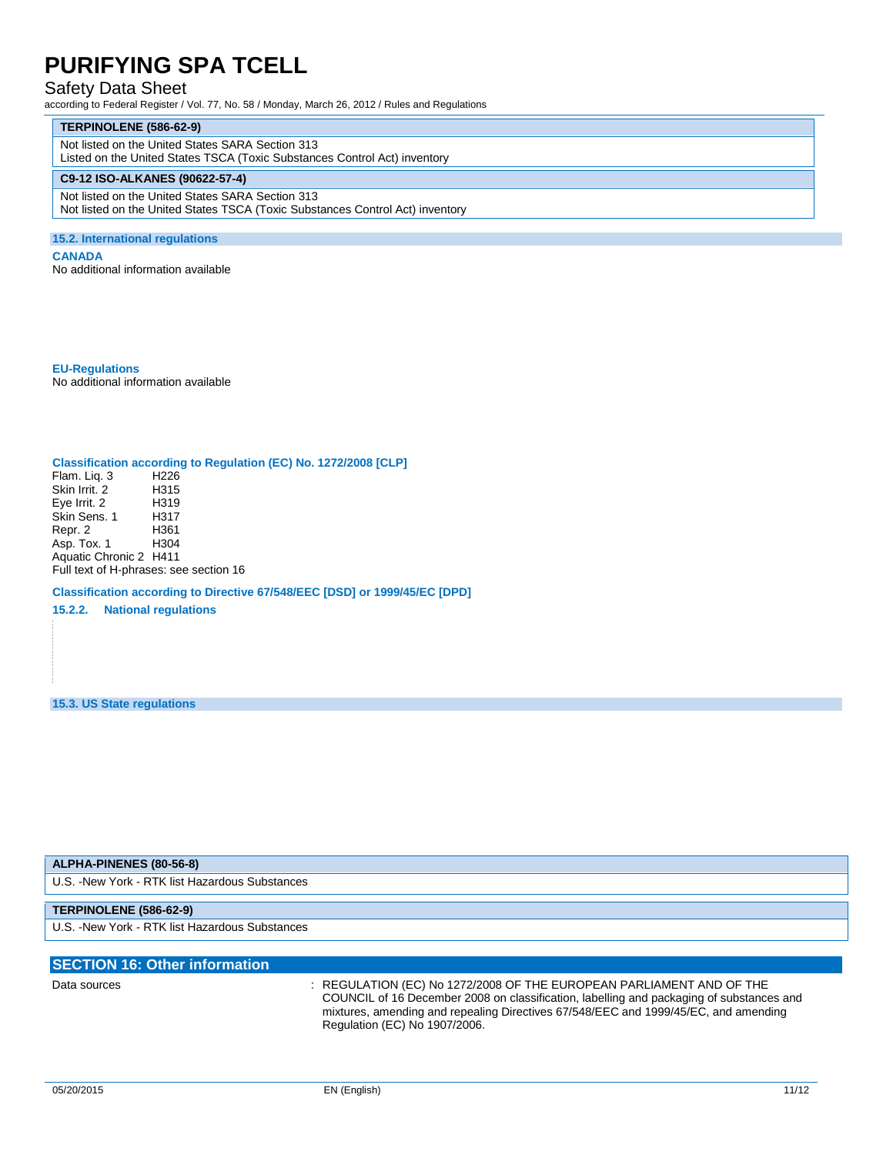### Safety Data Sheet

according to Federal Register / Vol. 77, No. 58 / Monday, March 26, 2012 / Rules and Regulations

#### **TERPINOLENE (586-62-9)**

Not listed on the United States SARA Section 313

Listed on the United States TSCA (Toxic Substances Control Act) inventory

#### **C9-12 ISO-ALKANES (90622-57-4)**

Not listed on the United States SARA Section 313 Not listed on the United States TSCA (Toxic Substances Control Act) inventory

### **15.2. International regulations**

#### **CANADA**

No additional information available

**EU-Regulations** No additional information available

### **Classification according to Regulation (EC) No. 1272/2008 [CLP]**

Flam. Liq. 3 H226<br>Skin Irrit. 2 H315 Skin Irrit.<sup>2</sup><br>Eye Irrit. 2 H319 Eye Irrit. 2 H319<br>Skin Sens. 1 H317 Skin Sens. 1 H317 Repr. 2 H361 Asp. Tox. 1 Aquatic Chronic 2 H411 Full text of H-phrases: see section 16

**Classification according to Directive 67/548/EEC [DSD] or 1999/45/EC [DPD]**

**15.2.2. National regulations**

**15.3. US State regulations**

#### **ALPHA-PINENES (80-56-8)**

U.S. -New York - RTK list Hazardous Substances

### **TERPINOLENE (586-62-9)**

U.S. -New York - RTK list Hazardous Substances

### **SECTION 16: Other information** Data sources : REGULATION (EC) No 1272/2008 OF THE EUROPEAN PARLIAMENT AND OF THE

COUNCIL of 16 December 2008 on classification, labelling and packaging of substances and mixtures, amending and repealing Directives 67/548/EEC and 1999/45/EC, and amending Regulation (EC) No 1907/2006.